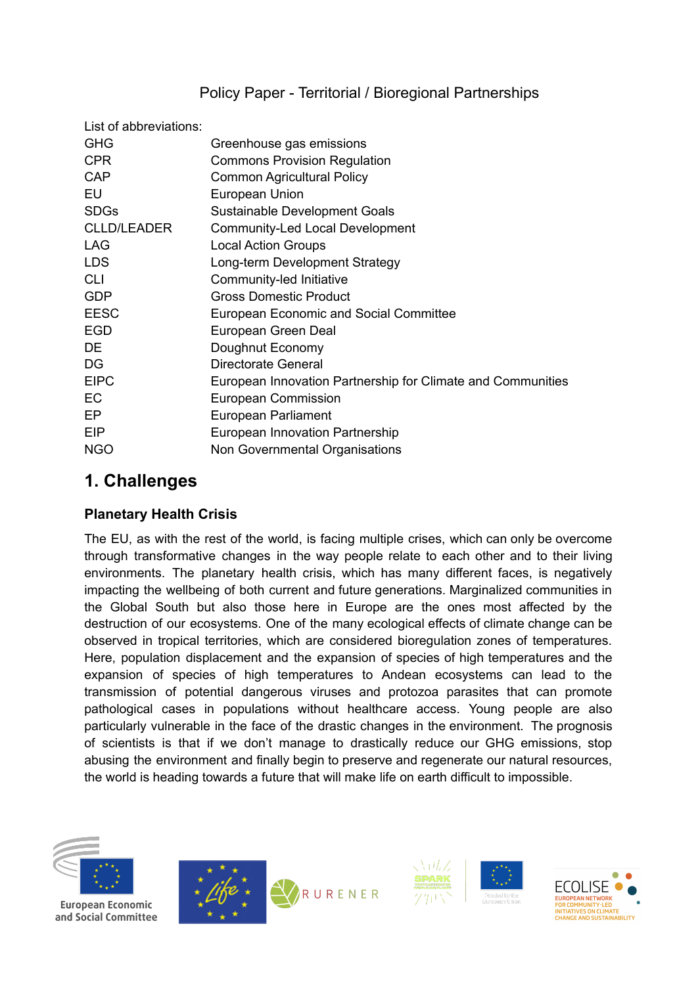# Policy Paper - Territorial / Bioregional Partnerships

| List of abbreviations: |                                                             |
|------------------------|-------------------------------------------------------------|
| <b>GHG</b>             | Greenhouse gas emissions                                    |
| <b>CPR</b>             | <b>Commons Provision Regulation</b>                         |
| <b>CAP</b>             | <b>Common Agricultural Policy</b>                           |
| EU                     | European Union                                              |
| <b>SDGs</b>            | Sustainable Development Goals                               |
| <b>CLLD/LEADER</b>     | Community-Led Local Development                             |
| <b>LAG</b>             | <b>Local Action Groups</b>                                  |
| <b>LDS</b>             | Long-term Development Strategy                              |
| <b>CLI</b>             | Community-led Initiative                                    |
| <b>GDP</b>             | <b>Gross Domestic Product</b>                               |
| <b>EESC</b>            | <b>European Economic and Social Committee</b>               |
| <b>EGD</b>             | European Green Deal                                         |
| <b>DE</b>              | Doughnut Economy                                            |
| DG                     | <b>Directorate General</b>                                  |
| <b>EIPC</b>            | European Innovation Partnership for Climate and Communities |
| EC                     | <b>European Commission</b>                                  |
| EP                     | European Parliament                                         |
| <b>EIP</b>             | European Innovation Partnership                             |
| <b>NGO</b>             | Non Governmental Organisations                              |
|                        |                                                             |

# **1. Challenges**

### **Planetary Health Crisis**

The EU, as with the rest of the world, is facing multiple crises, which can only be overcome through transformative changes in the way people relate to each other and to their living environments. The planetary health crisis, which has many different faces, is negatively impacting the wellbeing of both current and future generations. Marginalized communities in the Global South but also those here in Europe are the ones most affected by the destruction of our ecosystems. One of the many ecological effects of climate change can be observed in tropical territories, which are considered bioregulation zones of temperatures. Here, population displacement and the expansion of species of high temperatures and the expansion of species of high temperatures to Andean ecosystems can lead to the transmission of potential dangerous viruses and protozoa parasites that can promote pathological cases in populations without healthcare access. Young people are also particularly vulnerable in the face of the drastic changes in the environment. The prognosis of scientists is that if we don't manage to drastically reduce our GHG emissions, stop abusing the environment and finally begin to preserve and regenerate our natural resources, the world is heading towards a future that will make life on earth difficult to impossible.









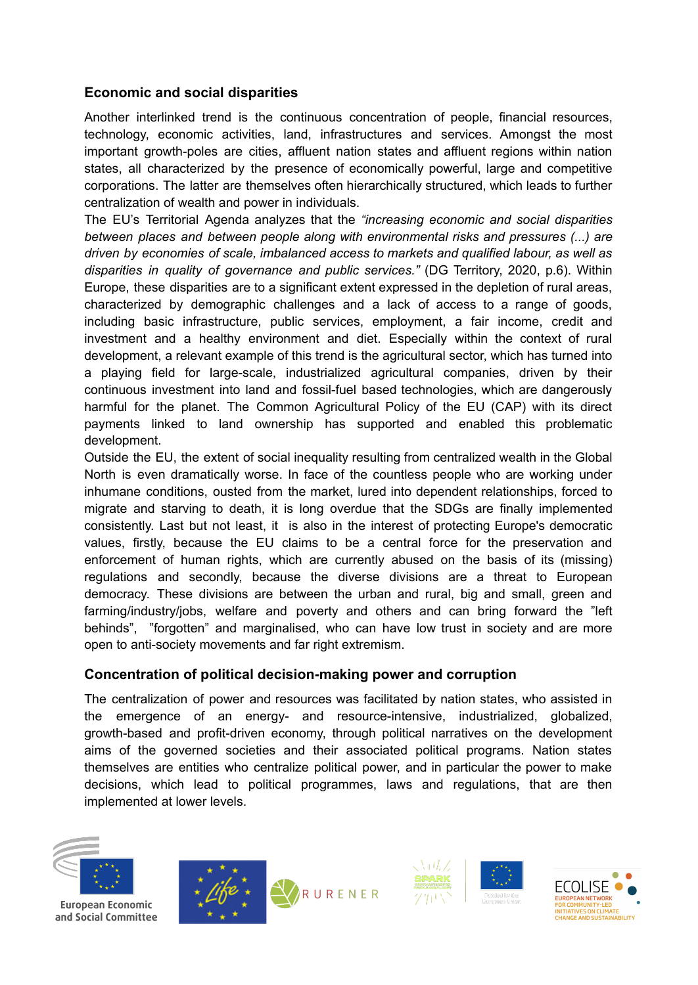#### **Economic and social disparities**

Another interlinked trend is the continuous concentration of people, financial resources, technology, economic activities, land, infrastructures and services. Amongst the most important growth-poles are cities, affluent nation states and affluent regions within nation states, all characterized by the presence of economically powerful, large and competitive corporations. The latter are themselves often hierarchically structured, which leads to further centralization of wealth and power in individuals.

The EU's Territorial Agenda analyzes that the *"increasing economic and social disparities between places and between people along with environmental risks and pressures (...) are driven by economies of scale, imbalanced access to markets and qualified labour, as well as disparities in quality of governance and public services."* (DG Territory, 2020, p.6). Within Europe, these disparities are to a significant extent expressed in the depletion of rural areas, characterized by demographic challenges and a lack of access to a range of goods, including basic infrastructure, public services, employment, a fair income, credit and investment and a healthy environment and diet. Especially within the context of rural development, a relevant example of this trend is the agricultural sector, which has turned into a playing field for large-scale, industrialized agricultural companies, driven by their continuous investment into land and fossil-fuel based technologies, which are dangerously harmful for the planet. The Common Agricultural Policy of the EU (CAP) with its direct payments linked to land ownership has supported and enabled this problematic development.

Outside the EU, the extent of social inequality resulting from centralized wealth in the Global North is even dramatically worse. In face of the countless people who are working under inhumane conditions, ousted from the market, lured into dependent relationships, forced to migrate and starving to death, it is long overdue that the SDGs are finally implemented consistently. Last but not least, it is also in the interest of protecting Europe's democratic values, firstly, because the EU claims to be a central force for the preservation and enforcement of human rights, which are currently abused on the basis of its (missing) regulations and secondly, because the diverse divisions are a threat to European democracy. These divisions are between the urban and rural, big and small, green and farming/industry/jobs, welfare and poverty and others and can bring forward the "left behinds", "forgotten" and marginalised, who can have low trust in society and are more open to anti-society movements and far right extremism.

#### **Concentration of political decision-making power and corruption**

The centralization of power and resources was facilitated by nation states, who assisted in the emergence of an energy- and resource-intensive, industrialized, globalized, growth-based and profit-driven economy, through political narratives on the development aims of the governed societies and their associated political programs. Nation states themselves are entities who centralize political power, and in particular the power to make decisions, which lead to political programmes, laws and regulations, that are then implemented at lower levels.



**European Economic** and Social Committee







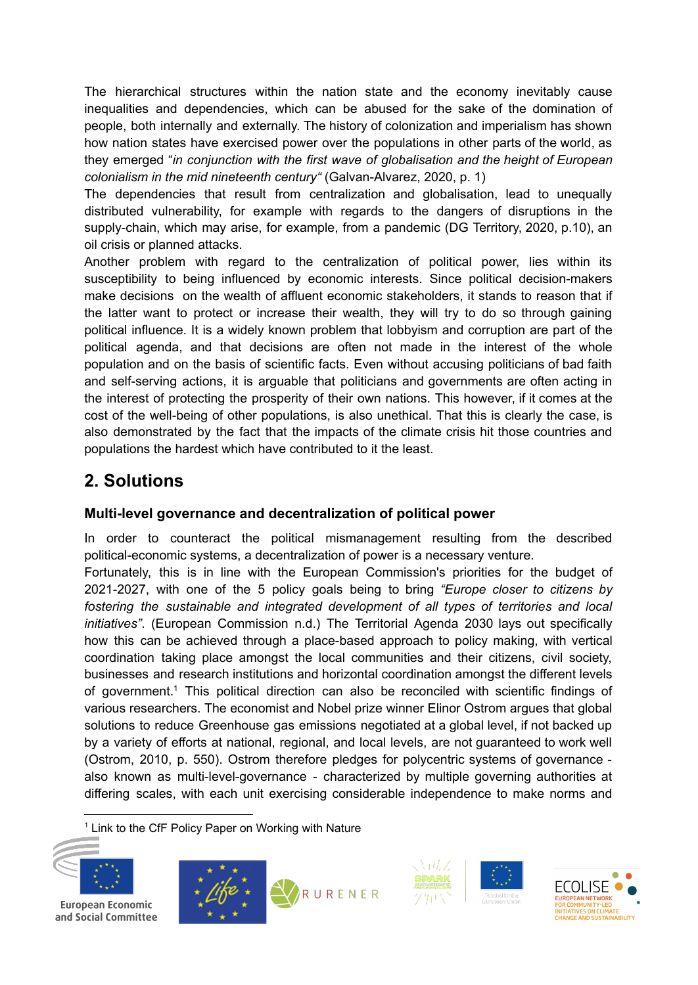The hierarchical structures within the nation state and the economy inevitably cause inequalities and dependencies, which can be abused for the sake of the domination of people, both internally and externally. The history of colonization and imperialism has shown how nation states have exercised power over the populations in other parts of the world, as they emerged "*in conjunction with the first wave of globalisation and the height of European colonialism in the mid nineteenth century"* (Galvan-Alvarez, 2020, p. 1)

The dependencies that result from centralization and globalisation, lead to unequally distributed vulnerability, for example with regards to the dangers of disruptions in the supply-chain, which may arise, for example, from a pandemic (DG Territory, 2020, p.10), an oil crisis or planned attacks.

Another problem with regard to the centralization of political power, lies within its susceptibility to being influenced by economic interests. Since political decision-makers make decisions on the wealth of affluent economic stakeholders, it stands to reason that if the latter want to protect or increase their wealth, they will try to do so through gaining political influence. It is a widely known problem that lobbyism and corruption are part of the political agenda, and that decisions are often not made in the interest of the whole population and on the basis of scientific facts. Even without accusing politicians of bad faith and self-serving actions, it is arguable that politicians and governments are often acting in the interest of protecting the prosperity of their own nations. This however, if it comes at the cost of the well-being of other populations, is also unethical. That this is clearly the case, is also demonstrated by the fact that the impacts of the climate crisis hit those countries and populations the hardest which have contributed to it the least.

# **2. Solutions**

### **Multi-level governance and decentralization of political power**

In order to counteract the political mismanagement resulting from the described political-economic systems, a decentralization of power is a necessary venture.

Fortunately, this is in line with the European Commission's priorities for the budget of 2021-2027, with one of the 5 policy goals being to bring *"Europe closer to citizens by fostering the sustainable and integrated development of all types of territories and local initiatives"*. (European Commission n.d.) The Territorial Agenda 2030 lays out specifically how this can be achieved through a place-based approach to policy making, with vertical coordination taking place amongst the local communities and their citizens, civil society, businesses and research institutions and horizontal coordination amongst the different levels of government.<sup>1</sup> This political direction can also be reconciled with scientific findings of various researchers. The economist and Nobel prize winner Elinor Ostrom argues that global solutions to reduce Greenhouse gas emissions negotiated at a global level, if not backed up by a variety of efforts at national, regional, and local levels, are not guaranteed to work well (Ostrom, 2010, p. 550). Ostrom therefore pledges for polycentric systems of governance also known as multi-level-governance - characterized by multiple governing authorities at differing scales, with each unit exercising considerable independence to make norms and

<sup>1</sup> Link to the CfF Policy Paper on Working with Nature









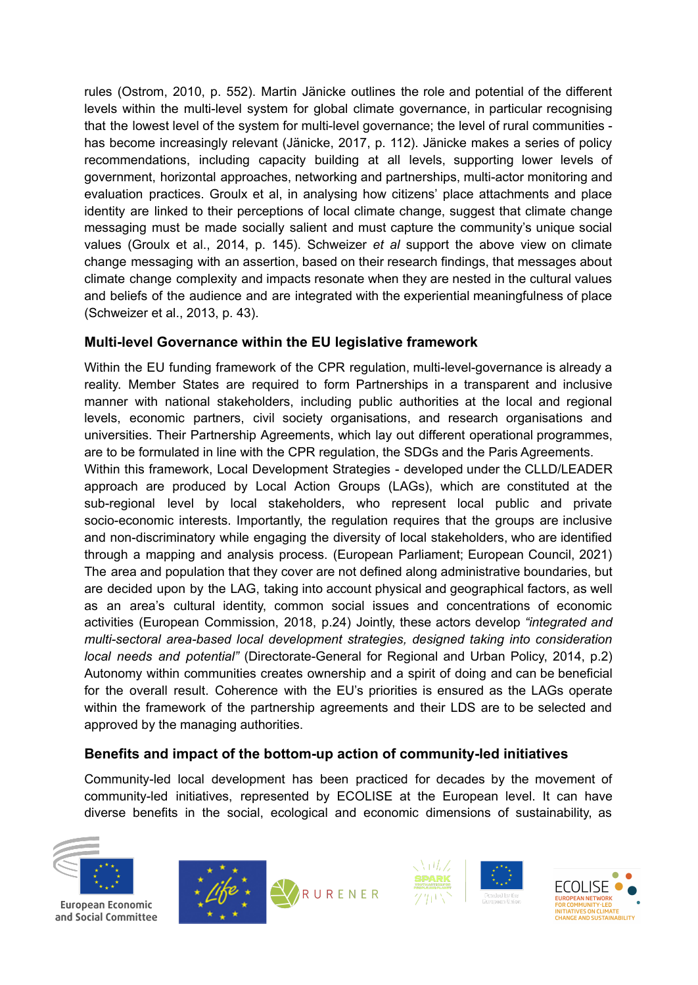rules (Ostrom, 2010, p. 552). Martin Jänicke outlines the role and potential of the different levels within the multi-level system for global climate governance, in particular recognising that the lowest level of the system for multi-level governance; the level of rural communities has become increasingly relevant (Jänicke, 2017, p. 112). Jänicke makes a series of policy recommendations, including capacity building at all levels, supporting lower levels of government, horizontal approaches, networking and partnerships, multi-actor monitoring and evaluation practices. Groulx et al, in analysing how citizens' place attachments and place identity are linked to their perceptions of local climate change, suggest that climate change messaging must be made socially salient and must capture the community's unique social values (Groulx et al., 2014, p. 145). Schweizer *et al* support the above view on climate change messaging with an assertion, based on their research findings, that messages about climate change complexity and impacts resonate when they are nested in the cultural values and beliefs of the audience and are integrated with the experiential meaningfulness of place (Schweizer et al., 2013, p. 43).

### **Multi-level Governance within the EU legislative framework**

Within the EU funding framework of the CPR regulation, multi-level-governance is already a reality. Member States are required to form Partnerships in a transparent and inclusive manner with national stakeholders, including public authorities at the local and regional levels, economic partners, civil society organisations, and research organisations and universities. Their Partnership Agreements, which lay out different operational programmes, are to be formulated in line with the CPR regulation, the SDGs and the Paris Agreements.

Within this framework, Local Development Strategies - developed under the CLLD/LEADER approach are produced by Local Action Groups (LAGs), which are constituted at the sub-regional level by local stakeholders, who represent local public and private socio-economic interests. Importantly, the regulation requires that the groups are inclusive and non-discriminatory while engaging the diversity of local stakeholders, who are identified through a mapping and analysis process. (European Parliament; European Council, 2021) The area and population that they cover are not defined along administrative boundaries, but are decided upon by the LAG, taking into account physical and geographical factors, as well as an area's cultural identity, common social issues and concentrations of economic activities (European Commission, 2018, p.24) Jointly, these actors develop *"integrated and multi-sectoral area-based local development strategies, designed taking into consideration local needs and potential"* (Directorate-General for Regional and Urban Policy, 2014, p.2) Autonomy within communities creates ownership and a spirit of doing and can be beneficial for the overall result. Coherence with the EU's priorities is ensured as the LAGs operate within the framework of the partnership agreements and their LDS are to be selected and approved by the managing authorities.

## **Benefits and impact of the bottom-up action of community-led initiatives**

Community-led local development has been practiced for decades by the movement of community-led initiatives, represented by ECOLISE at the European level. It can have diverse benefits in the social, ecological and economic dimensions of sustainability, as



**European Economic** and Social Committee







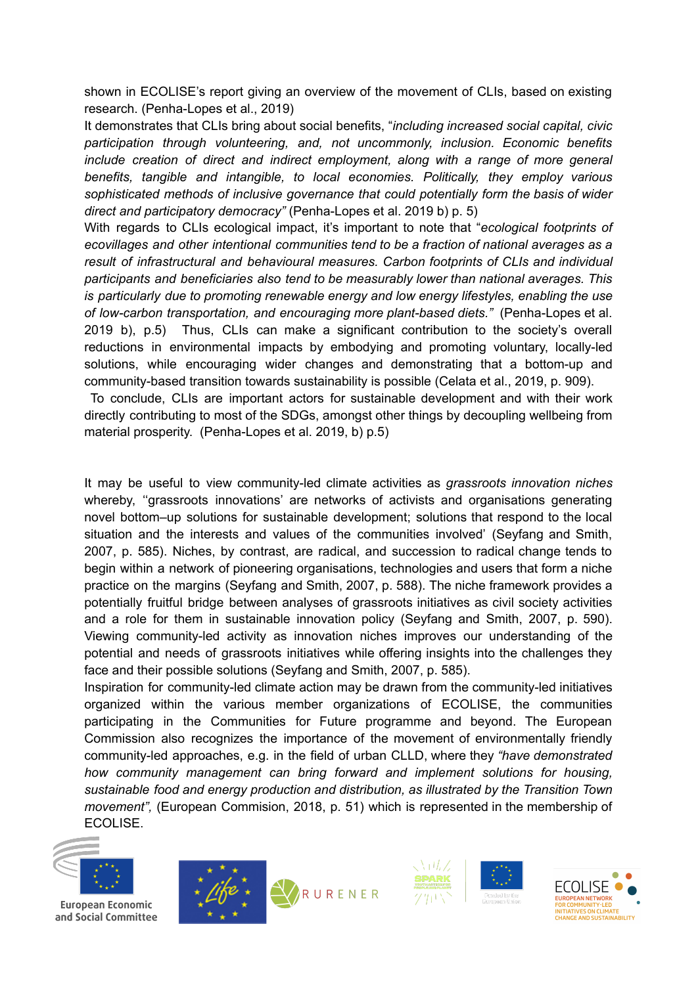shown in ECOLISE's report giving an overview of the movement of CLIs, based on existing research. (Penha-Lopes et al., 2019)

It demonstrates that CLIs bring about social benefits, "*including increased social capital, civic participation through volunteering, and, not uncommonly, inclusion. Economic benefits include creation of direct and indirect employment, along with a range of more general benefits, tangible and intangible, to local economies. Politically, they employ various sophisticated methods of inclusive governance that could potentially form the basis of wider direct and participatory democracy"* (Penha-Lopes et al. 2019 b) p. 5)

With regards to CLIs ecological impact, it's important to note that "*ecological footprints of ecovillages and other intentional communities tend to be a fraction of national averages as a result of infrastructural and behavioural measures. Carbon footprints of CLIs and individual participants and beneficiaries also tend to be measurably lower than national averages. This is particularly due to promoting renewable energy and low energy lifestyles, enabling the use of low-carbon transportation, and encouraging more plant-based diets."* (Penha-Lopes et al. 2019 b), p.5) Thus, CLIs can make a significant contribution to the society's overall reductions in environmental impacts by embodying and promoting voluntary, locally-led solutions, while encouraging wider changes and demonstrating that a bottom-up and community-based transition towards sustainability is possible (Celata et al., 2019, p. 909).

To conclude, CLIs are important actors for sustainable development and with their work directly contributing to most of the SDGs, amongst other things by decoupling wellbeing from material prosperity. (Penha-Lopes et al. 2019, b) p.5)

It may be useful to view community-led climate activities as *grassroots innovation niches* whereby, ''grassroots innovations' are networks of activists and organisations generating novel bottom–up solutions for sustainable development; solutions that respond to the local situation and the interests and values of the communities involved' (Seyfang and Smith, 2007, p. 585). Niches, by contrast, are radical, and succession to radical change tends to begin within a network of pioneering organisations, technologies and users that form a niche practice on the margins (Seyfang and Smith, 2007, p. 588). The niche framework provides a potentially fruitful bridge between analyses of grassroots initiatives as civil society activities and a role for them in sustainable innovation policy (Seyfang and Smith, 2007, p. 590). Viewing community-led activity as innovation niches improves our understanding of the potential and needs of grassroots initiatives while offering insights into the challenges they face and their possible solutions (Seyfang and Smith, 2007, p. 585).

Inspiration for community-led climate action may be drawn from the community-led initiatives organized within the various member organizations of ECOLISE, the communities participating in the Communities for Future programme and beyond. The European Commission also recognizes the importance of the movement of environmentally friendly community-led approaches, e.g. in the field of urban CLLD, where they *"have demonstrated how community management can bring forward and implement solutions for housing, sustainable food and energy production and distribution, as illustrated by the Transition Town movement",* (European Commision, 2018, p. 51) which is represented in the membership of ECOLISE.



**European Economic** and Social Committee







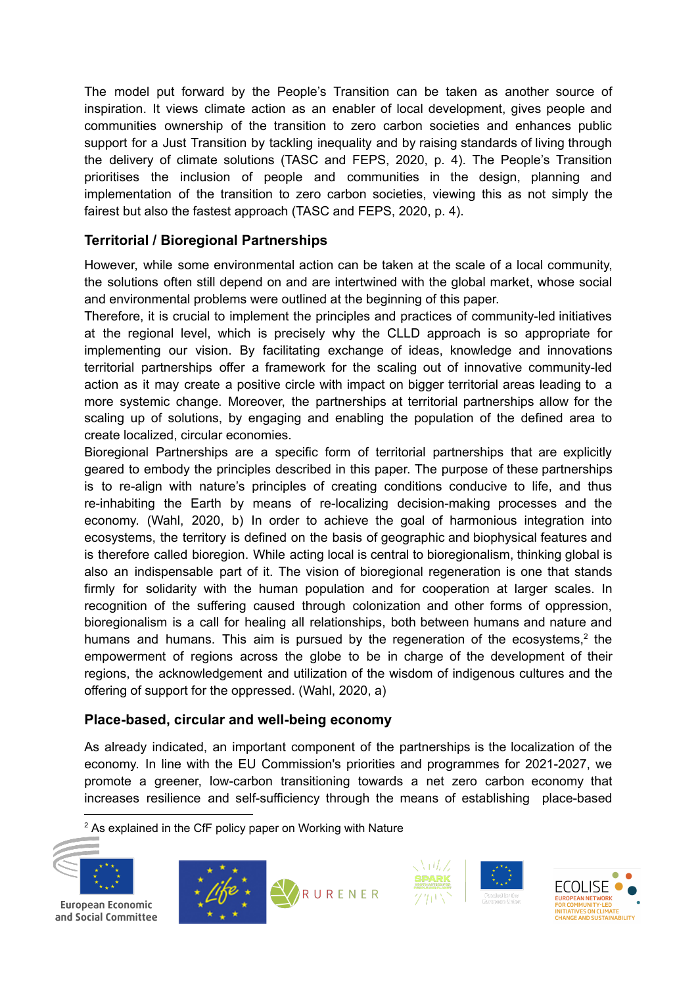The model put forward by the People's Transition can be taken as another source of inspiration. It views climate action as an enabler of local development, gives people and communities ownership of the transition to zero carbon societies and enhances public support for a Just Transition by tackling inequality and by raising standards of living through the delivery of climate solutions (TASC and FEPS, 2020, p. 4). The People's Transition prioritises the inclusion of people and communities in the design, planning and implementation of the transition to zero carbon societies, viewing this as not simply the fairest but also the fastest approach (TASC and FEPS, 2020, p. 4).

### **Territorial / Bioregional Partnerships**

However, while some environmental action can be taken at the scale of a local community, the solutions often still depend on and are intertwined with the global market, whose social and environmental problems were outlined at the beginning of this paper.

Therefore, it is crucial to implement the principles and practices of community-led initiatives at the regional level, which is precisely why the CLLD approach is so appropriate for implementing our vision. By facilitating exchange of ideas, knowledge and innovations territorial partnerships offer a framework for the scaling out of innovative community-led action as it may create a positive circle with impact on bigger territorial areas leading to a more systemic change. Moreover, the partnerships at territorial partnerships allow for the scaling up of solutions, by engaging and enabling the population of the defined area to create localized, circular economies.

Bioregional Partnerships are a specific form of territorial partnerships that are explicitly geared to embody the principles described in this paper. The purpose of these partnerships is to re-align with nature's principles of creating conditions conducive to life, and thus re-inhabiting the Earth by means of re-localizing decision-making processes and the economy. (Wahl, 2020, b) In order to achieve the goal of harmonious integration into ecosystems, the territory is defined on the basis of geographic and biophysical features and is therefore called bioregion. While acting local is central to bioregionalism, thinking global is also an indispensable part of it. The vision of bioregional regeneration is one that stands firmly for solidarity with the human population and for cooperation at larger scales. In recognition of the suffering caused through colonization and other forms of oppression, bioregionalism is a call for healing all relationships, both between humans and nature and humans and humans. This aim is pursued by the regeneration of the ecosystems, $2$  the empowerment of regions across the globe to be in charge of the development of their regions, the acknowledgement and utilization of the wisdom of indigenous cultures and the offering of support for the oppressed. (Wahl, 2020, a)

### **Place-based, circular and well-being economy**

As already indicated, an important component of the partnerships is the localization of the economy. In line with the EU Commission's priorities and programmes for 2021-2027, we promote a greener, low-carbon transitioning towards a net zero carbon economy that increases resilience and self-sufficiency through the means of establishing place-based

 $2$  As explained in the CfF policy paper on Working with Nature



European Economic and Social Committee







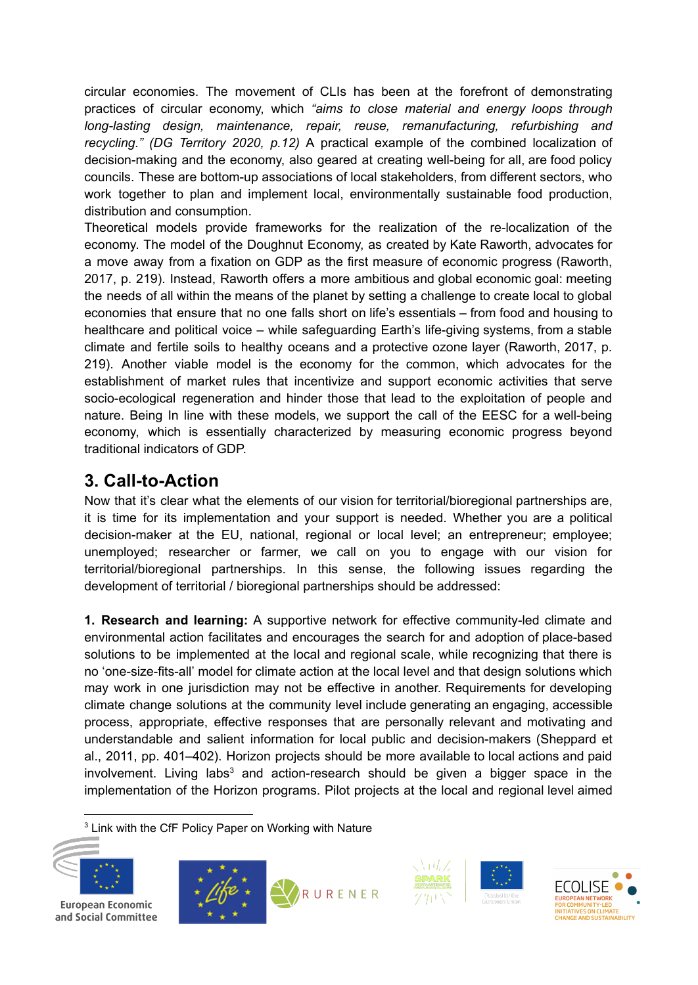circular economies. The movement of CLIs has been at the forefront of demonstrating practices of circular economy, which *"aims to close material and energy loops through long-lasting design, maintenance, repair, reuse, remanufacturing, refurbishing and recycling." (DG Territory 2020, p.12)* A practical example of the combined localization of decision-making and the economy, also geared at creating well-being for all, are food policy councils. These are bottom-up associations of local stakeholders, from different sectors, who work together to plan and implement local, environmentally sustainable food production, distribution and consumption.

Theoretical models provide frameworks for the realization of the re-localization of the economy. The model of the Doughnut Economy, as created by Kate Raworth, advocates for a move away from a fixation on GDP as the first measure of economic progress (Raworth, 2017, p. 219). Instead, Raworth offers a more ambitious and global economic goal: meeting the needs of all within the means of the planet by setting a challenge to create local to global economies that ensure that no one falls short on life's essentials – from food and housing to healthcare and political voice – while safeguarding Earth's life-giving systems, from a stable climate and fertile soils to healthy oceans and a protective ozone layer (Raworth, 2017, p. 219). Another viable model is the economy for the common, which advocates for the establishment of market rules that incentivize and support economic activities that serve socio-ecological regeneration and hinder those that lead to the exploitation of people and nature. Being In line with these models, we support the call of the EESC for a well-being economy, which is essentially characterized by measuring economic progress beyond traditional indicators of GDP.

# **3. Call-to-Action**

Now that it's clear what the elements of our vision for territorial/bioregional partnerships are, it is time for its implementation and your support is needed. Whether you are a political decision-maker at the EU, national, regional or local level; an entrepreneur; employee; unemployed; researcher or farmer, we call on you to engage with our vision for territorial/bioregional partnerships. In this sense, the following issues regarding the development of territorial / bioregional partnerships should be addressed:

**1. Research and learning:** A supportive network for effective community-led climate and environmental action facilitates and encourages the search for and adoption of place-based solutions to be implemented at the local and regional scale, while recognizing that there is no 'one-size-fits-all' model for climate action at the local level and that design solutions which may work in one jurisdiction may not be effective in another. Requirements for developing climate change solutions at the community level include generating an engaging, accessible process, appropriate, effective responses that are personally relevant and motivating and understandable and salient information for local public and decision-makers (Sheppard et al., 2011, pp. 401–402). Horizon projects should be more available to local actions and paid involvement. Living labs<sup>3</sup> and action-research should be given a bigger space in the implementation of the Horizon programs. Pilot projects at the local and regional level aimed

<sup>3</sup> Link with the CfF Policy Paper on Working with Nature









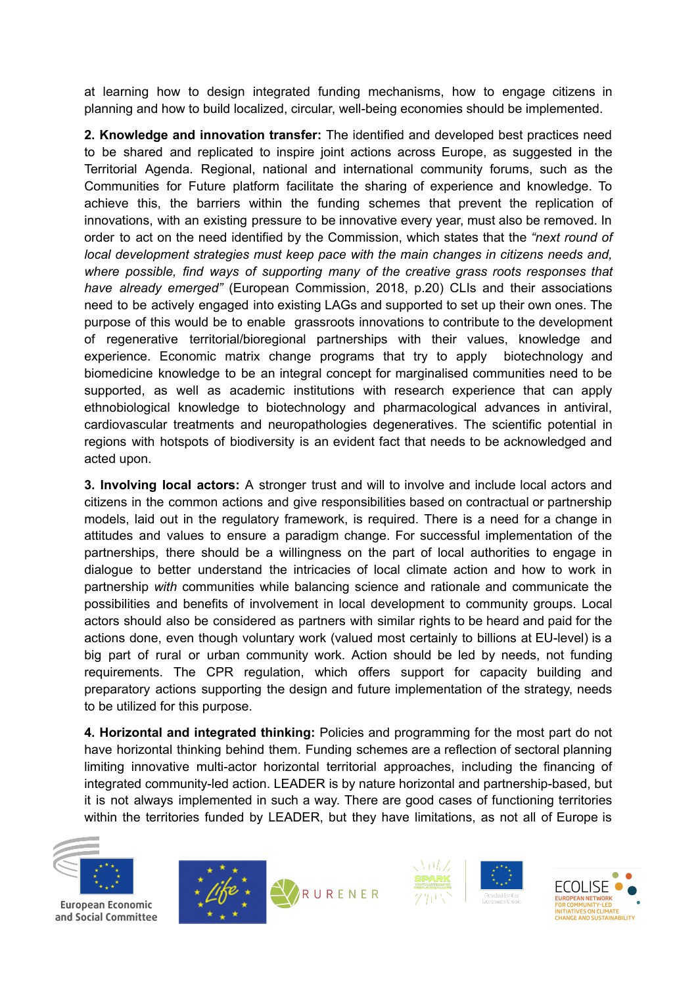at learning how to design integrated funding mechanisms, how to engage citizens in planning and how to build localized, circular, well-being economies should be implemented.

**2. Knowledge and innovation transfer:** The identified and developed best practices need to be shared and replicated to inspire joint actions across Europe, as suggested in the Territorial Agenda. Regional, national and international community forums, such as the Communities for Future platform facilitate the sharing of experience and knowledge. To achieve this, the barriers within the funding schemes that prevent the replication of innovations, with an existing pressure to be innovative every year, must also be removed. In order to act on the need identified by the Commission, which states that the *"next round of local development strategies must keep pace with the main changes in citizens needs and, where possible, find ways of supporting many of the creative grass roots responses that have already emerged"* (European Commission, 2018, p.20) CLIs and their associations need to be actively engaged into existing LAGs and supported to set up their own ones. The purpose of this would be to enable grassroots innovations to contribute to the development of regenerative territorial/bioregional partnerships with their values, knowledge and experience. Economic matrix change programs that try to apply biotechnology and biomedicine knowledge to be an integral concept for marginalised communities need to be supported, as well as academic institutions with research experience that can apply ethnobiological knowledge to biotechnology and pharmacological advances in antiviral, cardiovascular treatments and neuropathologies degeneratives. The scientific potential in regions with hotspots of biodiversity is an evident fact that needs to be acknowledged and acted upon.

**3. Involving local actors:** A stronger trust and will to involve and include local actors and citizens in the common actions and give responsibilities based on contractual or partnership models, laid out in the regulatory framework, is required. There is a need for a change in attitudes and values to ensure a paradigm change. For successful implementation of the partnerships, there should be a willingness on the part of local authorities to engage in dialogue to better understand the intricacies of local climate action and how to work in partnership *with* communities while balancing science and rationale and communicate the possibilities and benefits of involvement in local development to community groups. Local actors should also be considered as partners with similar rights to be heard and paid for the actions done, even though voluntary work (valued most certainly to billions at EU-level) is a big part of rural or urban community work. Action should be led by needs, not funding requirements. The CPR regulation, which offers support for capacity building and preparatory actions supporting the design and future implementation of the strategy, needs to be utilized for this purpose.

**4. Horizontal and integrated thinking:** Policies and programming for the most part do not have horizontal thinking behind them. Funding schemes are a reflection of sectoral planning limiting innovative multi-actor horizontal territorial approaches, including the financing of integrated community-led action. LEADER is by nature horizontal and partnership-based, but it is not always implemented in such a way. There are good cases of functioning territories within the territories funded by LEADER, but they have limitations, as not all of Europe is



**European Economic** and Social Committee







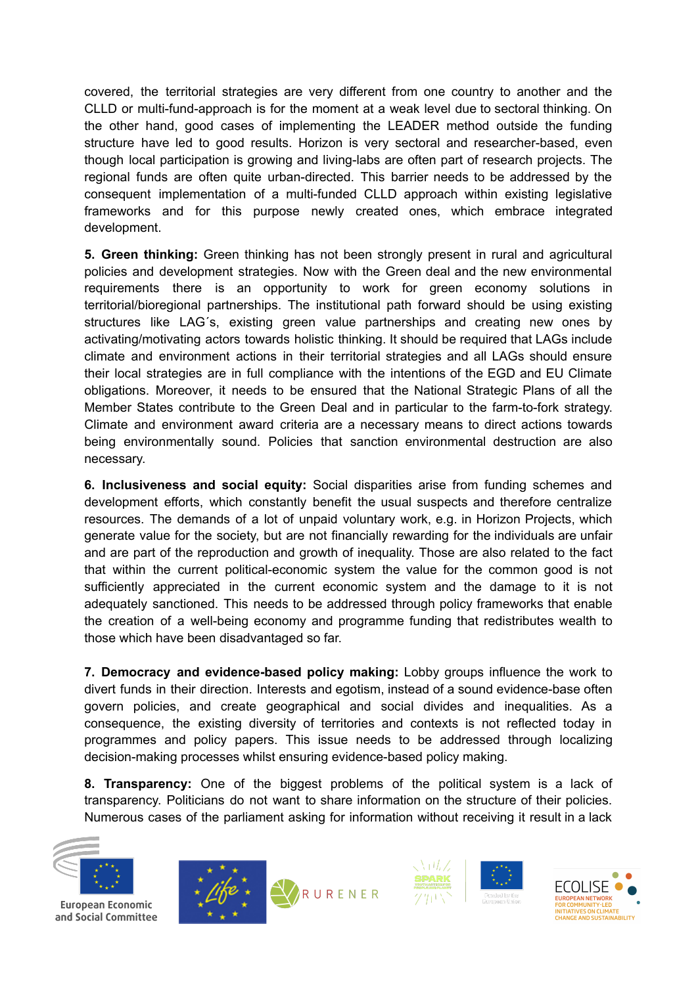covered, the territorial strategies are very different from one country to another and the CLLD or multi-fund-approach is for the moment at a weak level due to sectoral thinking. On the other hand, good cases of implementing the LEADER method outside the funding structure have led to good results. Horizon is very sectoral and researcher-based, even though local participation is growing and living-labs are often part of research projects. The regional funds are often quite urban-directed. This barrier needs to be addressed by the consequent implementation of a multi-funded CLLD approach within existing legislative frameworks and for this purpose newly created ones, which embrace integrated development.

**5. Green thinking:** Green thinking has not been strongly present in rural and agricultural policies and development strategies. Now with the Green deal and the new environmental requirements there is an opportunity to work for green economy solutions in territorial/bioregional partnerships. The institutional path forward should be using existing structures like LAG´s, existing green value partnerships and creating new ones by activating/motivating actors towards holistic thinking. It should be required that LAGs include climate and environment actions in their territorial strategies and all LAGs should ensure their local strategies are in full compliance with the intentions of the EGD and EU Climate obligations. Moreover, it needs to be ensured that the National Strategic Plans of all the Member States contribute to the Green Deal and in particular to the farm-to-fork strategy. Climate and environment award criteria are a necessary means to direct actions towards being environmentally sound. Policies that sanction environmental destruction are also necessary.

**6. Inclusiveness and social equity:** Social disparities arise from funding schemes and development efforts, which constantly benefit the usual suspects and therefore centralize resources. The demands of a lot of unpaid voluntary work, e.g. in Horizon Projects, which generate value for the society, but are not financially rewarding for the individuals are unfair and are part of the reproduction and growth of inequality. Those are also related to the fact that within the current political-economic system the value for the common good is not sufficiently appreciated in the current economic system and the damage to it is not adequately sanctioned. This needs to be addressed through policy frameworks that enable the creation of a well-being economy and programme funding that redistributes wealth to those which have been disadvantaged so far.

**7. Democracy and evidence-based policy making:** Lobby groups influence the work to divert funds in their direction. Interests and egotism, instead of a sound evidence-base often govern policies, and create geographical and social divides and inequalities. As a consequence, the existing diversity of territories and contexts is not reflected today in programmes and policy papers. This issue needs to be addressed through localizing decision-making processes whilst ensuring evidence-based policy making.

**8. Transparency:** One of the biggest problems of the political system is a lack of transparency. Politicians do not want to share information on the structure of their policies. Numerous cases of the parliament asking for information without receiving it result in a lack



**European Economic** and Social Committee







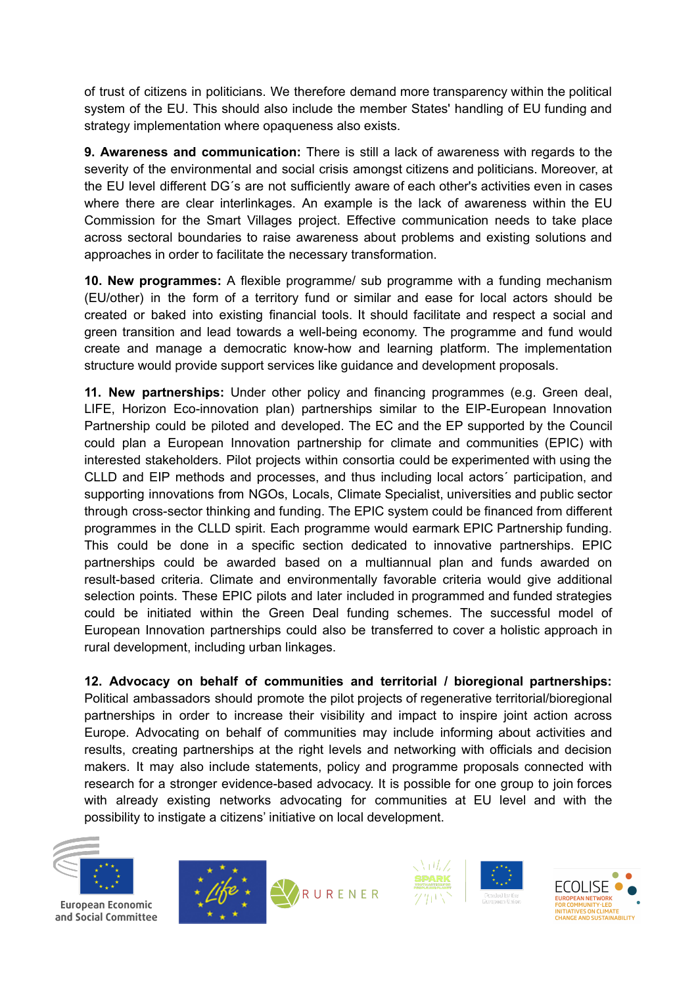of trust of citizens in politicians. We therefore demand more transparency within the political system of the EU. This should also include the member States' handling of EU funding and strategy implementation where opaqueness also exists.

**9. Awareness and communication:** There is still a lack of awareness with regards to the severity of the environmental and social crisis amongst citizens and politicians. Moreover, at the EU level different DG´s are not sufficiently aware of each other's activities even in cases where there are clear interlinkages. An example is the lack of awareness within the EU Commission for the Smart Villages project. Effective communication needs to take place across sectoral boundaries to raise awareness about problems and existing solutions and approaches in order to facilitate the necessary transformation.

**10. New programmes:** A flexible programme/ sub programme with a funding mechanism (EU/other) in the form of a territory fund or similar and ease for local actors should be created or baked into existing financial tools. It should facilitate and respect a social and green transition and lead towards a well-being economy. The programme and fund would create and manage a democratic know-how and learning platform. The implementation structure would provide support services like guidance and development proposals.

**11. New partnerships:** Under other policy and financing programmes (e.g. Green deal, LIFE, Horizon Eco-innovation plan) partnerships similar to the EIP-European Innovation Partnership could be piloted and developed. The EC and the EP supported by the Council could plan a European Innovation partnership for climate and communities (EPIC) with interested stakeholders. Pilot projects within consortia could be experimented with using the CLLD and EIP methods and processes, and thus including local actors´ participation, and supporting innovations from NGOs, Locals, Climate Specialist, universities and public sector through cross-sector thinking and funding. The EPIC system could be financed from different programmes in the CLLD spirit. Each programme would earmark EPIC Partnership funding. This could be done in a specific section dedicated to innovative partnerships. EPIC partnerships could be awarded based on a multiannual plan and funds awarded on result-based criteria. Climate and environmentally favorable criteria would give additional selection points. These EPIC pilots and later included in programmed and funded strategies could be initiated within the Green Deal funding schemes. The successful model of European Innovation partnerships could also be transferred to cover a holistic approach in rural development, including urban linkages.

**12. Advocacy on behalf of communities and territorial / bioregional partnerships:**

Political ambassadors should promote the pilot projects of regenerative territorial/bioregional partnerships in order to increase their visibility and impact to inspire joint action across Europe. Advocating on behalf of communities may include informing about activities and results, creating partnerships at the right levels and networking with officials and decision makers. It may also include statements, policy and programme proposals connected with research for a stronger evidence-based advocacy. It is possible for one group to join forces with already existing networks advocating for communities at EU level and with the possibility to instigate a citizens' initiative on local development.



**European Economic** and Social Committee







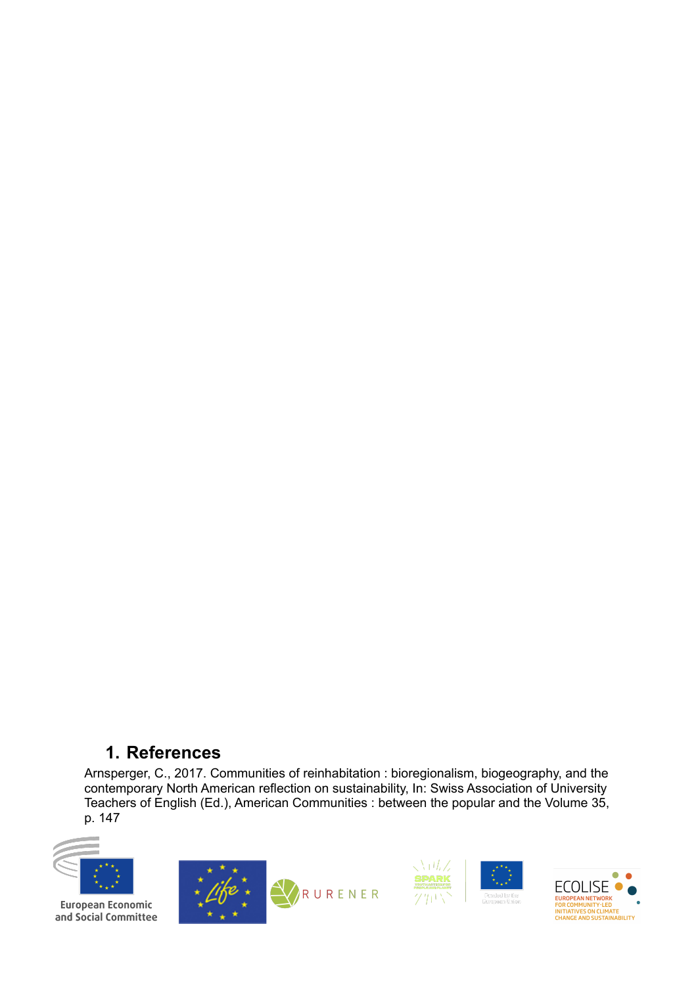# **1. References**

Arnsperger, C., 2017. Communities of reinhabitation : bioregionalism, biogeography, and the contemporary North American reflection on sustainability, In: Swiss Association of University Teachers of English (Ed.), American Communities : between the popular and the Volume 35, p. 147









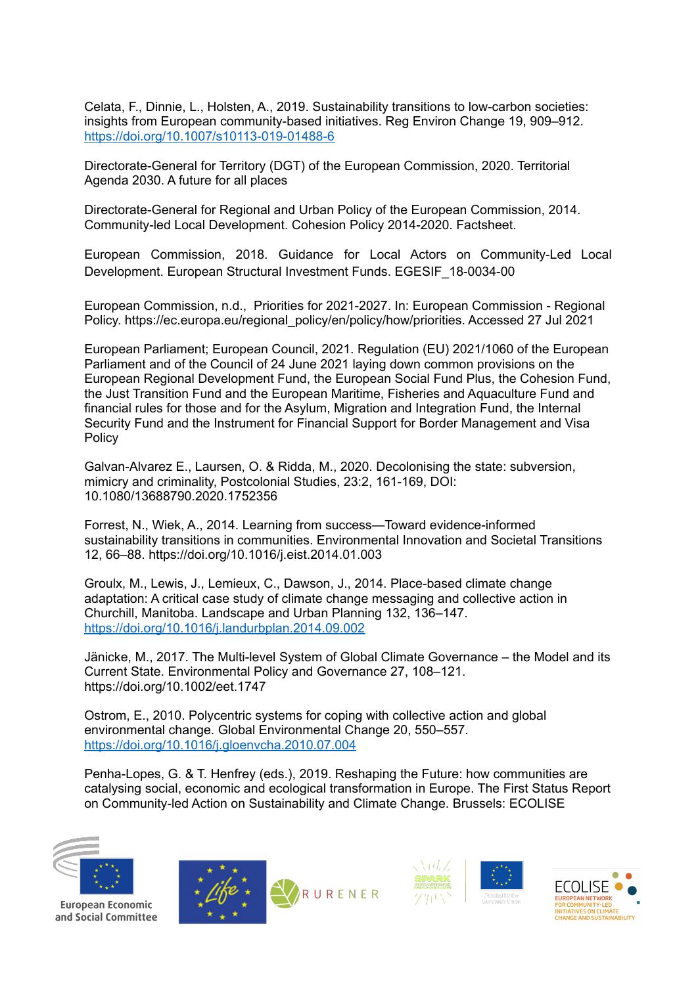Celata, F., Dinnie, L., Holsten, A., 2019. Sustainability transitions to low-carbon societies: insights from European community-based initiatives. Reg Environ Change 19, 909–912. <https://doi.org/10.1007/s10113-019-01488-6>

Directorate-General for Territory (DGT) of the European Commission, 2020. Territorial Agenda 2030. A future for all places

Directorate-General for Regional and Urban Policy of the European Commission, 2014. Community-led Local Development. Cohesion Policy 2014-2020. Factsheet.

European Commission, 2018. Guidance for Local Actors on Community-Led Local Development. European Structural Investment Funds. EGESIF\_18-0034-00

European Commission, n.d., Priorities for 2021-2027. In: European Commission - Regional Policy. https://ec.europa.eu/regional\_policy/en/policy/how/priorities. Accessed 27 Jul 2021

European Parliament; European Council, 2021. Regulation (EU) 2021/1060 of the European Parliament and of the Council of 24 June 2021 laying down common provisions on the European Regional Development Fund, the European Social Fund Plus, the Cohesion Fund, the Just Transition Fund and the European Maritime, Fisheries and Aquaculture Fund and financial rules for those and for the Asylum, Migration and Integration Fund, the Internal Security Fund and the Instrument for Financial Support for Border Management and Visa Policy

Galvan-Alvarez E., Laursen, O. & Ridda, M., 2020. Decolonising the state: subversion, mimicry and criminality, Postcolonial Studies, 23:2, 161-169, DOI: 10.1080/13688790.2020.1752356

Forrest, N., Wiek, A., 2014. Learning from success—Toward evidence-informed sustainability transitions in communities. Environmental Innovation and Societal Transitions 12, 66–88. https://doi.org/10.1016/j.eist.2014.01.003

Groulx, M., Lewis, J., Lemieux, C., Dawson, J., 2014. Place-based climate change adaptation: A critical case study of climate change messaging and collective action in Churchill, Manitoba. Landscape and Urban Planning 132, 136–147. <https://doi.org/10.1016/j.landurbplan.2014.09.002>

Jänicke, M., 2017. The Multi-level System of Global Climate Governance – the Model and its Current State. Environmental Policy and Governance 27, 108–121. https://doi.org/10.1002/eet.1747

Ostrom, E., 2010. Polycentric systems for coping with collective action and global environmental change. Global Environmental Change 20, 550–557. <https://doi.org/10.1016/j.gloenvcha.2010.07.004>

Penha-Lopes, G. & T. Henfrey (eds.), 2019. Reshaping the Future: how communities are catalysing social, economic and ecological transformation in Europe. The First Status Report on Community-led Action on Sustainability and Climate Change. Brussels: ECOLISE



**European Economic** and Social Committee